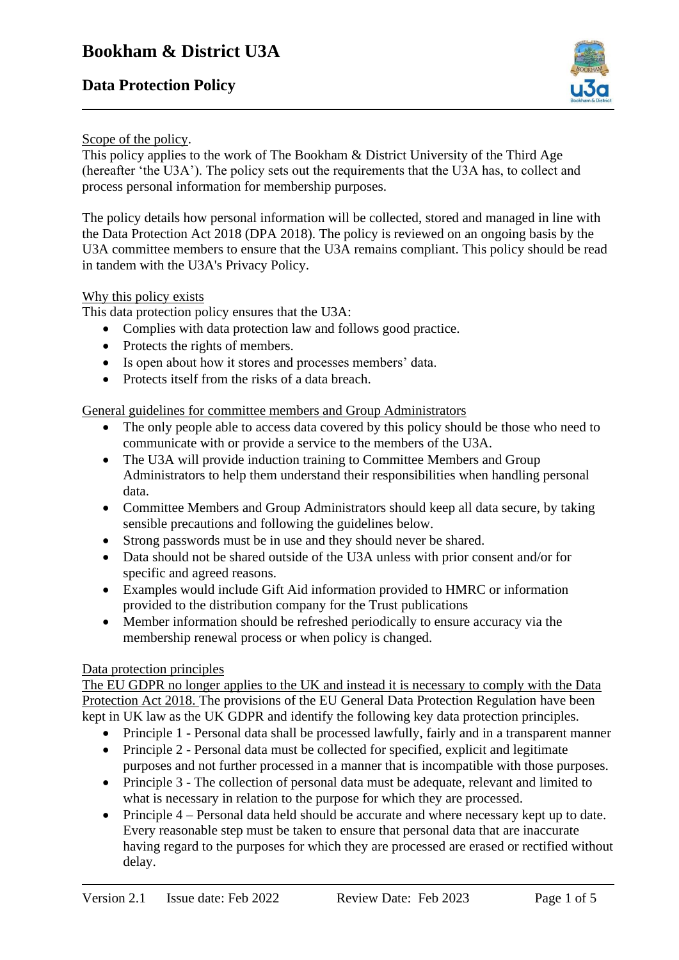# **Data Protection Policy**



## Scope of the policy.

This policy applies to the work of The Bookham & District University of the Third Age (hereafter 'the U3A'). The policy sets out the requirements that the U3A has, to collect and process personal information for membership purposes.

The policy details how personal information will be collected, stored and managed in line with the Data Protection Act 2018 (DPA 2018). The policy is reviewed on an ongoing basis by the U3A committee members to ensure that the U3A remains compliant. This policy should be read in tandem with the U3A's Privacy Policy.

## Why this policy exists

This data protection policy ensures that the U3A:

- Complies with data protection law and follows good practice.
- Protects the rights of members.
- Is open about how it stores and processes members' data.
- Protects itself from the risks of a data breach.

General guidelines for committee members and Group Administrators

- The only people able to access data covered by this policy should be those who need to communicate with or provide a service to the members of the U3A.
- The U3A will provide induction training to Committee Members and Group Administrators to help them understand their responsibilities when handling personal data.
- Committee Members and Group Administrators should keep all data secure, by taking sensible precautions and following the guidelines below.
- Strong passwords must be in use and they should never be shared.
- Data should not be shared outside of the U3A unless with prior consent and/or for specific and agreed reasons.
- Examples would include Gift Aid information provided to HMRC or information provided to the distribution company for the Trust publications
- Member information should be refreshed periodically to ensure accuracy via the membership renewal process or when policy is changed.

### Data protection principles

The EU GDPR no longer applies to the UK and instead it is necessary to comply with the Data Protection Act 2018. The provisions of the EU General Data Protection Regulation have been kept in UK law as the UK GDPR and identify the following key data protection principles.

- Principle 1 Personal data shall be processed lawfully, fairly and in a transparent manner
- Principle 2 Personal data must be collected for specified, explicit and legitimate purposes and not further processed in a manner that is incompatible with those purposes.
- Principle 3 The collection of personal data must be adequate, relevant and limited to what is necessary in relation to the purpose for which they are processed.
- Principle 4 Personal data held should be accurate and where necessary kept up to date. Every reasonable step must be taken to ensure that personal data that are inaccurate having regard to the purposes for which they are processed are erased or rectified without delay.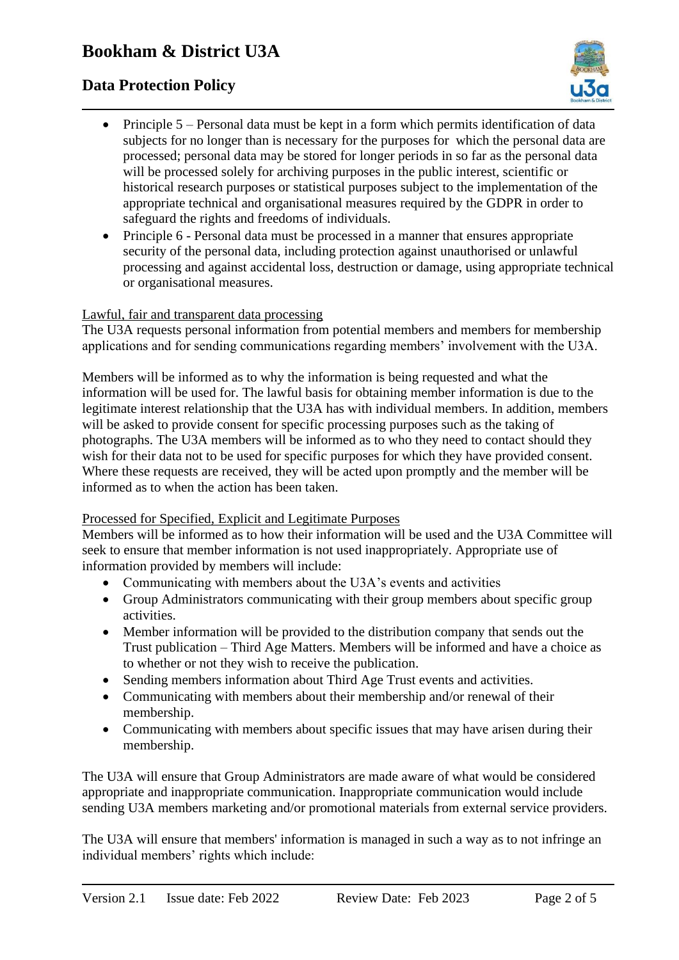# **Data Protection Policy**



- Principle 5 Personal data must be kept in a form which permits identification of data subjects for no longer than is necessary for the purposes for which the personal data are processed; personal data may be stored for longer periods in so far as the personal data will be processed solely for archiving purposes in the public interest, scientific or historical research purposes or statistical purposes subject to the implementation of the appropriate technical and organisational measures required by the GDPR in order to safeguard the rights and freedoms of individuals.
- Principle 6 Personal data must be processed in a manner that ensures appropriate security of the personal data, including protection against unauthorised or unlawful processing and against accidental loss, destruction or damage, using appropriate technical or organisational measures.

### Lawful, fair and transparent data processing

The U3A requests personal information from potential members and members for membership applications and for sending communications regarding members' involvement with the U3A.

Members will be informed as to why the information is being requested and what the information will be used for. The lawful basis for obtaining member information is due to the legitimate interest relationship that the U3A has with individual members. In addition, members will be asked to provide consent for specific processing purposes such as the taking of photographs. The U3A members will be informed as to who they need to contact should they wish for their data not to be used for specific purposes for which they have provided consent. Where these requests are received, they will be acted upon promptly and the member will be informed as to when the action has been taken.

## Processed for Specified, Explicit and Legitimate Purposes

Members will be informed as to how their information will be used and the U3A Committee will seek to ensure that member information is not used inappropriately. Appropriate use of information provided by members will include:

- Communicating with members about the U3A's events and activities
- Group Administrators communicating with their group members about specific group activities.
- Member information will be provided to the distribution company that sends out the Trust publication – Third Age Matters. Members will be informed and have a choice as to whether or not they wish to receive the publication.
- Sending members information about Third Age Trust events and activities.
- Communicating with members about their membership and/or renewal of their membership.
- Communicating with members about specific issues that may have arisen during their membership.

The U3A will ensure that Group Administrators are made aware of what would be considered appropriate and inappropriate communication. Inappropriate communication would include sending U3A members marketing and/or promotional materials from external service providers.

The U3A will ensure that members' information is managed in such a way as to not infringe an individual members' rights which include: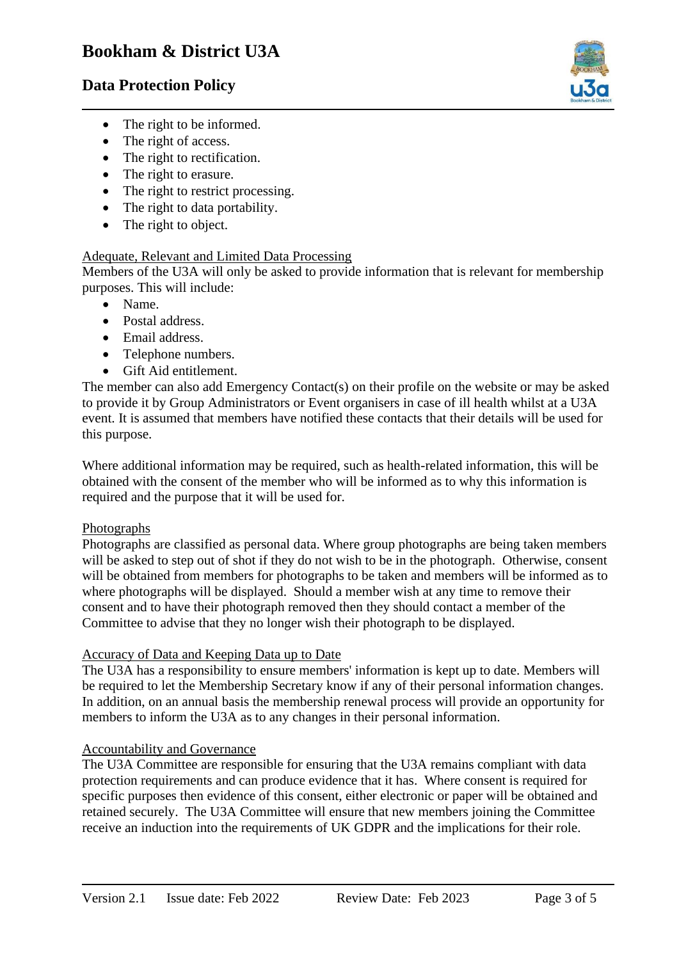## **Data Protection Policy**



- The right to be informed.
- The right of access.
- The right to rectification.
- The right to erasure.
- The right to restrict processing.
- The right to data portability.
- The right to object.

### Adequate, Relevant and Limited Data Processing

Members of the U3A will only be asked to provide information that is relevant for membership purposes. This will include:

- Name.
- Postal address.
- Email address.
- Telephone numbers.
- Gift Aid entitlement.

The member can also add Emergency Contact(s) on their profile on the website or may be asked to provide it by Group Administrators or Event organisers in case of ill health whilst at a U3A event. It is assumed that members have notified these contacts that their details will be used for this purpose.

Where additional information may be required, such as health-related information, this will be obtained with the consent of the member who will be informed as to why this information is required and the purpose that it will be used for.

#### Photographs

Photographs are classified as personal data. Where group photographs are being taken members will be asked to step out of shot if they do not wish to be in the photograph. Otherwise, consent will be obtained from members for photographs to be taken and members will be informed as to where photographs will be displayed. Should a member wish at any time to remove their consent and to have their photograph removed then they should contact a member of the Committee to advise that they no longer wish their photograph to be displayed.

#### Accuracy of Data and Keeping Data up to Date

The U3A has a responsibility to ensure members' information is kept up to date. Members will be required to let the Membership Secretary know if any of their personal information changes. In addition, on an annual basis the membership renewal process will provide an opportunity for members to inform the U3A as to any changes in their personal information.

#### Accountability and Governance

The U3A Committee are responsible for ensuring that the U3A remains compliant with data protection requirements and can produce evidence that it has. Where consent is required for specific purposes then evidence of this consent, either electronic or paper will be obtained and retained securely. The U3A Committee will ensure that new members joining the Committee receive an induction into the requirements of UK GDPR and the implications for their role.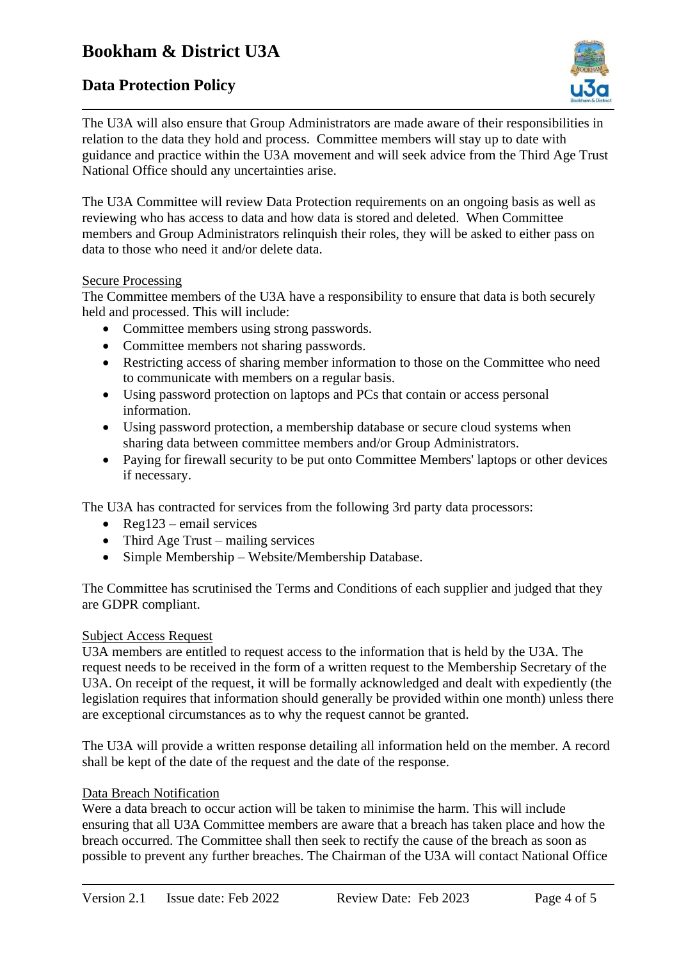# **Data Protection Policy**



The U3A will also ensure that Group Administrators are made aware of their responsibilities in relation to the data they hold and process. Committee members will stay up to date with guidance and practice within the U3A movement and will seek advice from the Third Age Trust National Office should any uncertainties arise.

The U3A Committee will review Data Protection requirements on an ongoing basis as well as reviewing who has access to data and how data is stored and deleted. When Committee members and Group Administrators relinquish their roles, they will be asked to either pass on data to those who need it and/or delete data.

#### Secure Processing

The Committee members of the U3A have a responsibility to ensure that data is both securely held and processed. This will include:

- Committee members using strong passwords.
- Committee members not sharing passwords.
- Restricting access of sharing member information to those on the Committee who need to communicate with members on a regular basis.
- Using password protection on laptops and PCs that contain or access personal information.
- Using password protection, a membership database or secure cloud systems when sharing data between committee members and/or Group Administrators.
- Paying for firewall security to be put onto Committee Members' laptops or other devices if necessary.

The U3A has contracted for services from the following 3rd party data processors:

- Reg123 email services
- Third Age Trust mailing services
- Simple Membership Website/Membership Database.

The Committee has scrutinised the Terms and Conditions of each supplier and judged that they are GDPR compliant.

#### Subject Access Request

U3A members are entitled to request access to the information that is held by the U3A. The request needs to be received in the form of a written request to the Membership Secretary of the U3A. On receipt of the request, it will be formally acknowledged and dealt with expediently (the legislation requires that information should generally be provided within one month) unless there are exceptional circumstances as to why the request cannot be granted.

The U3A will provide a written response detailing all information held on the member. A record shall be kept of the date of the request and the date of the response.

#### Data Breach Notification

Were a data breach to occur action will be taken to minimise the harm. This will include ensuring that all U3A Committee members are aware that a breach has taken place and how the breach occurred. The Committee shall then seek to rectify the cause of the breach as soon as possible to prevent any further breaches. The Chairman of the U3A will contact National Office